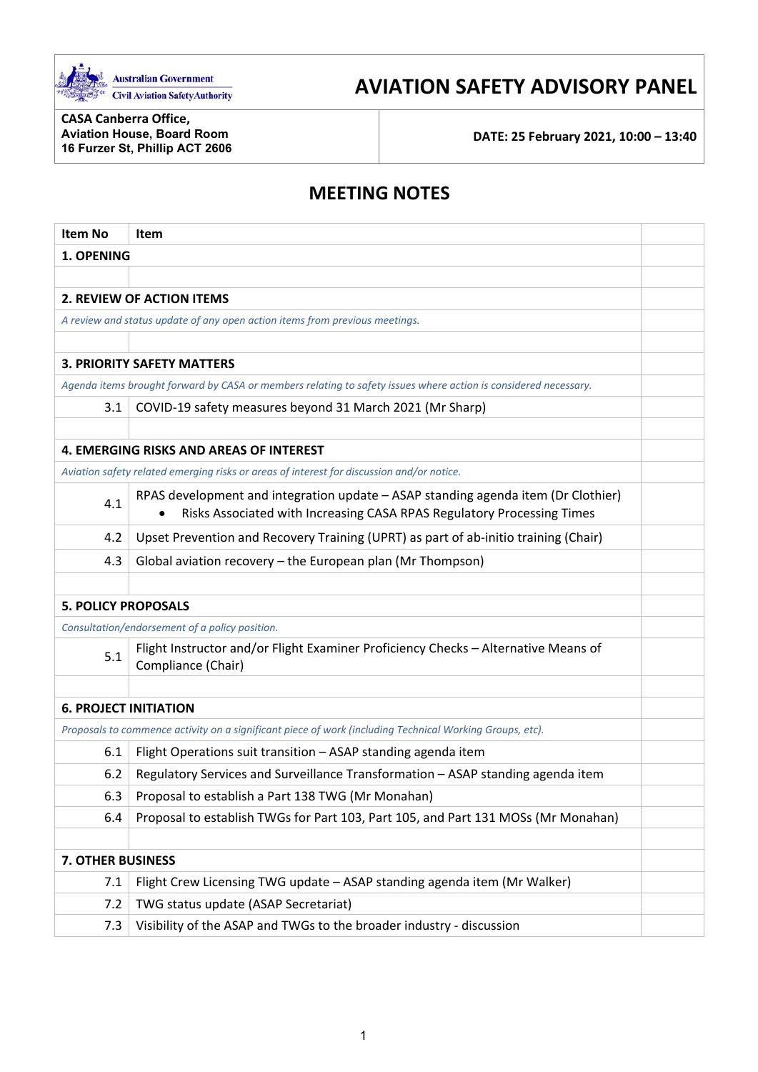

# **AVIATION SAFETY ADVISORY PANEL**

**CASA Canberra Office, Aviation House, Board Room 16 Furzer St, Phillip ACT 2606**

**DATE: 25 February 2021, 10:00 – 13:40**

## **MEETING NOTES**

| <b>Item No</b>               | Item                                                                                                                                                        |  |  |  |
|------------------------------|-------------------------------------------------------------------------------------------------------------------------------------------------------------|--|--|--|
| 1. OPENING                   |                                                                                                                                                             |  |  |  |
|                              |                                                                                                                                                             |  |  |  |
|                              | <b>2. REVIEW OF ACTION ITEMS</b>                                                                                                                            |  |  |  |
|                              | A review and status update of any open action items from previous meetings.                                                                                 |  |  |  |
|                              |                                                                                                                                                             |  |  |  |
|                              | <b>3. PRIORITY SAFETY MATTERS</b>                                                                                                                           |  |  |  |
|                              | Agenda items brought forward by CASA or members relating to safety issues where action is considered necessary.                                             |  |  |  |
| 3.1                          | COVID-19 safety measures beyond 31 March 2021 (Mr Sharp)                                                                                                    |  |  |  |
|                              |                                                                                                                                                             |  |  |  |
|                              | <b>4. EMERGING RISKS AND AREAS OF INTEREST</b>                                                                                                              |  |  |  |
|                              | Aviation safety related emerging risks or areas of interest for discussion and/or notice.                                                                   |  |  |  |
| 4.1                          | RPAS development and integration update - ASAP standing agenda item (Dr Clothier)<br>Risks Associated with Increasing CASA RPAS Regulatory Processing Times |  |  |  |
| 4.2                          | Upset Prevention and Recovery Training (UPRT) as part of ab-initio training (Chair)                                                                         |  |  |  |
| 4.3                          | Global aviation recovery - the European plan (Mr Thompson)                                                                                                  |  |  |  |
|                              |                                                                                                                                                             |  |  |  |
| <b>5. POLICY PROPOSALS</b>   |                                                                                                                                                             |  |  |  |
|                              | Consultation/endorsement of a policy position.                                                                                                              |  |  |  |
| 5.1                          | Flight Instructor and/or Flight Examiner Proficiency Checks - Alternative Means of<br>Compliance (Chair)                                                    |  |  |  |
|                              |                                                                                                                                                             |  |  |  |
| <b>6. PROJECT INITIATION</b> |                                                                                                                                                             |  |  |  |
|                              | Proposals to commence activity on a significant piece of work (including Technical Working Groups, etc).                                                    |  |  |  |
| 6.1                          | Flight Operations suit transition - ASAP standing agenda item                                                                                               |  |  |  |
| 6.2                          | Regulatory Services and Surveillance Transformation - ASAP standing agenda item                                                                             |  |  |  |
| 6.3                          | Proposal to establish a Part 138 TWG (Mr Monahan)                                                                                                           |  |  |  |
| 6.4                          | Proposal to establish TWGs for Part 103, Part 105, and Part 131 MOSs (Mr Monahan)                                                                           |  |  |  |
|                              |                                                                                                                                                             |  |  |  |
| <b>7. OTHER BUSINESS</b>     |                                                                                                                                                             |  |  |  |
| 7.1                          | Flight Crew Licensing TWG update - ASAP standing agenda item (Mr Walker)                                                                                    |  |  |  |
| 7.2                          | TWG status update (ASAP Secretariat)                                                                                                                        |  |  |  |
| 7.3                          | Visibility of the ASAP and TWGs to the broader industry - discussion                                                                                        |  |  |  |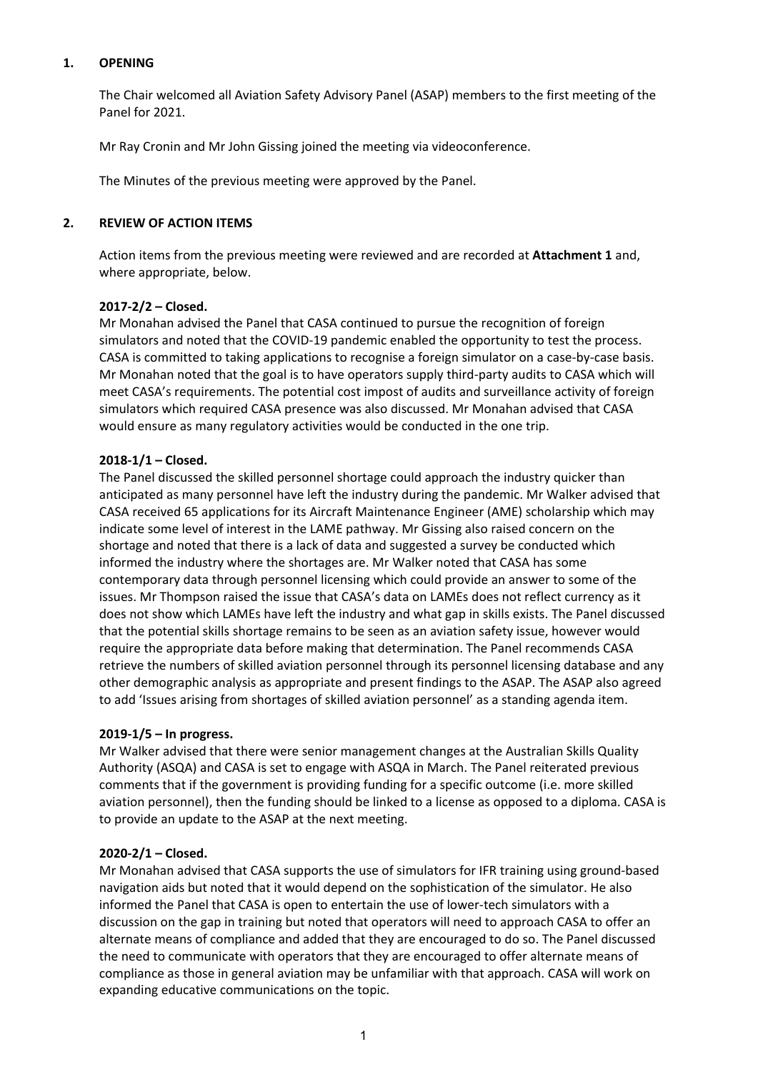## **1. OPENING**

The Chair welcomed all Aviation Safety Advisory Panel (ASAP) members to the first meeting of the Panel for 2021.

Mr Ray Cronin and Mr John Gissing joined the meeting via videoconference.

The Minutes of the previous meeting were approved by the Panel.

## **2. REVIEW OF ACTION ITEMS**

Action items from the previous meeting were reviewed and are recorded at **Attachment 1** and, where appropriate, below.

## **2017-2/2 – Closed.**

Mr Monahan advised the Panel that CASA continued to pursue the recognition of foreign simulators and noted that the COVID-19 pandemic enabled the opportunity to test the process. CASA is committed to taking applications to recognise a foreign simulator on a case-by-case basis. Mr Monahan noted that the goal is to have operators supply third-party audits to CASA which will meet CASA's requirements. The potential cost impost of audits and surveillance activity of foreign simulators which required CASA presence was also discussed. Mr Monahan advised that CASA would ensure as many regulatory activities would be conducted in the one trip.

## **2018-1/1 – Closed.**

The Panel discussed the skilled personnel shortage could approach the industry quicker than anticipated as many personnel have left the industry during the pandemic. Mr Walker advised that CASA received 65 applications for its Aircraft Maintenance Engineer (AME) scholarship which may indicate some level of interest in the LAME pathway. Mr Gissing also raised concern on the shortage and noted that there is a lack of data and suggested a survey be conducted which informed the industry where the shortages are. Mr Walker noted that CASA has some contemporary data through personnel licensing which could provide an answer to some of the issues. Mr Thompson raised the issue that CASA's data on LAMEs does not reflect currency as it does not show which LAMEs have left the industry and what gap in skills exists. The Panel discussed that the potential skills shortage remains to be seen as an aviation safety issue, however would require the appropriate data before making that determination. The Panel recommends CASA retrieve the numbers of skilled aviation personnel through its personnel licensing database and any other demographic analysis as appropriate and present findings to the ASAP. The ASAP also agreed to add 'Issues arising from shortages of skilled aviation personnel' as a standing agenda item.

## **2019-1/5 – In progress.**

Mr Walker advised that there were senior management changes at the Australian Skills Quality Authority (ASQA) and CASA is set to engage with ASQA in March. The Panel reiterated previous comments that if the government is providing funding for a specific outcome (i.e. more skilled aviation personnel), then the funding should be linked to a license as opposed to a diploma. CASA is to provide an update to the ASAP at the next meeting.

## **2020-2/1 – Closed.**

Mr Monahan advised that CASA supports the use of simulators for IFR training using ground-based navigation aids but noted that it would depend on the sophistication of the simulator. He also informed the Panel that CASA is open to entertain the use of lower-tech simulators with a discussion on the gap in training but noted that operators will need to approach CASA to offer an alternate means of compliance and added that they are encouraged to do so. The Panel discussed the need to communicate with operators that they are encouraged to offer alternate means of compliance as those in general aviation may be unfamiliar with that approach. CASA will work on expanding educative communications on the topic.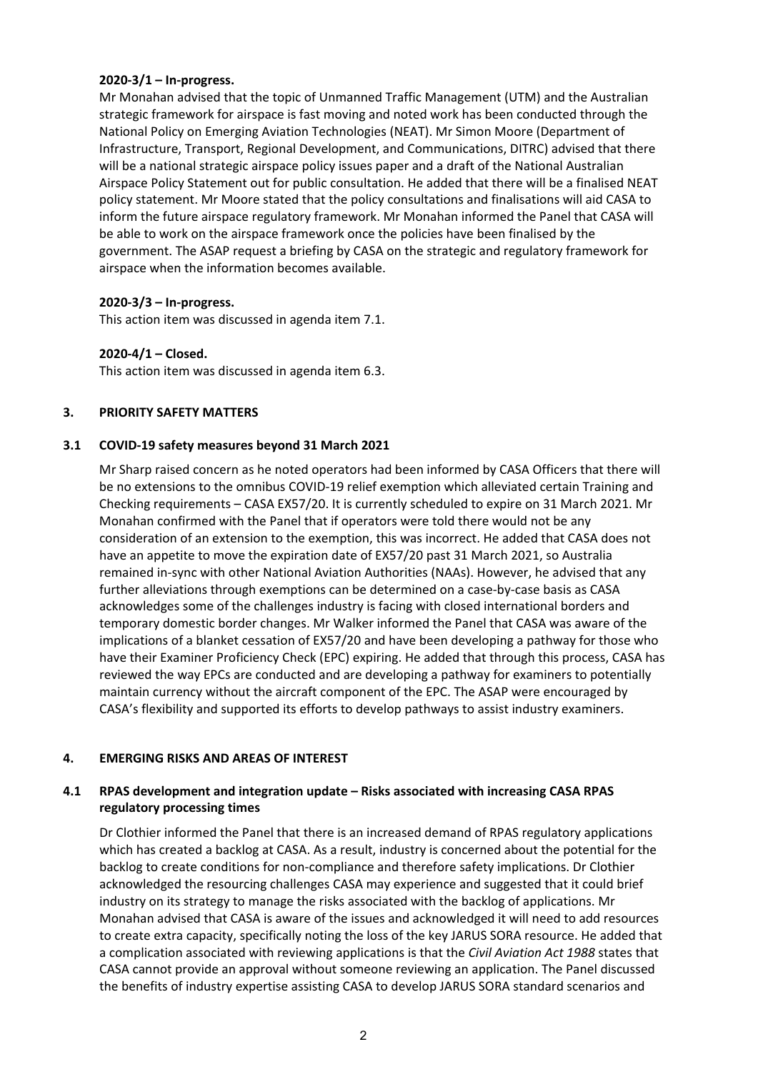## **2020-3/1 – In-progress.**

Mr Monahan advised that the topic of Unmanned Traffic Management (UTM) and the Australian strategic framework for airspace is fast moving and noted work has been conducted through the National Policy on Emerging Aviation Technologies (NEAT). Mr Simon Moore (Department of Infrastructure, Transport, Regional Development, and Communications, DITRC) advised that there will be a national strategic airspace policy issues paper and a draft of the National Australian Airspace Policy Statement out for public consultation. He added that there will be a finalised NEAT policy statement. Mr Moore stated that the policy consultations and finalisations will aid CASA to inform the future airspace regulatory framework. Mr Monahan informed the Panel that CASA will be able to work on the airspace framework once the policies have been finalised by the government. The ASAP request a briefing by CASA on the strategic and regulatory framework for airspace when the information becomes available.

## **2020-3/3 – In-progress.**

This action item was discussed in agenda item 7.1.

## **2020-4/1 – Closed.**

This action item was discussed in agenda item 6.3.

## **3. PRIORITY SAFETY MATTERS**

## **3.1 COVID-19 safety measures beyond 31 March 2021**

Mr Sharp raised concern as he noted operators had been informed by CASA Officers that there will be no extensions to the omnibus COVID-19 relief exemption which alleviated certain Training and Checking requirements – CASA EX57/20. It is currently scheduled to expire on 31 March 2021. Mr Monahan confirmed with the Panel that if operators were told there would not be any consideration of an extension to the exemption, this was incorrect. He added that CASA does not have an appetite to move the expiration date of EX57/20 past 31 March 2021, so Australia remained in-sync with other National Aviation Authorities (NAAs). However, he advised that any further alleviations through exemptions can be determined on a case-by-case basis as CASA acknowledges some of the challenges industry is facing with closed international borders and temporary domestic border changes. Mr Walker informed the Panel that CASA was aware of the implications of a blanket cessation of EX57/20 and have been developing a pathway for those who have their Examiner Proficiency Check (EPC) expiring. He added that through this process, CASA has reviewed the way EPCs are conducted and are developing a pathway for examiners to potentially maintain currency without the aircraft component of the EPC. The ASAP were encouraged by CASA's flexibility and supported its efforts to develop pathways to assist industry examiners.

## **4. EMERGING RISKS AND AREAS OF INTEREST**

## **4.1 RPAS development and integration update – Risks associated with increasing CASA RPAS regulatory processing times**

Dr Clothier informed the Panel that there is an increased demand of RPAS regulatory applications which has created a backlog at CASA. As a result, industry is concerned about the potential for the backlog to create conditions for non-compliance and therefore safety implications. Dr Clothier acknowledged the resourcing challenges CASA may experience and suggested that it could brief industry on its strategy to manage the risks associated with the backlog of applications. Mr Monahan advised that CASA is aware of the issues and acknowledged it will need to add resources to create extra capacity, specifically noting the loss of the key JARUS SORA resource. He added that a complication associated with reviewing applications is that the *Civil Aviation Act 1988* states that CASA cannot provide an approval without someone reviewing an application. The Panel discussed the benefits of industry expertise assisting CASA to develop JARUS SORA standard scenarios and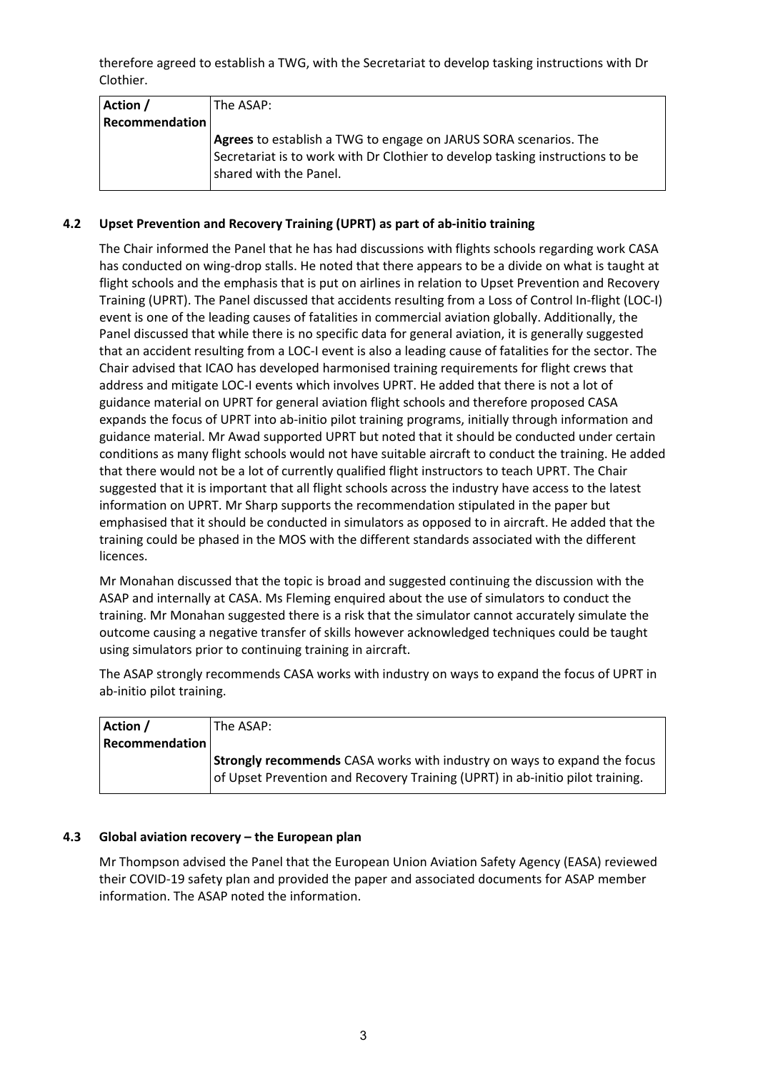therefore agreed to establish a TWG, with the Secretariat to develop tasking instructions with Dr Clothier.

| Action /              | The ASAP:                                                                     |
|-----------------------|-------------------------------------------------------------------------------|
| <b>Recommendation</b> |                                                                               |
|                       | <b>Agrees</b> to establish a TWG to engage on JARUS SORA scenarios. The       |
|                       | Secretariat is to work with Dr Clothier to develop tasking instructions to be |
|                       | shared with the Panel.                                                        |
|                       |                                                                               |

## **4.2 Upset Prevention and Recovery Training (UPRT) as part of ab-initio training**

The Chair informed the Panel that he has had discussions with flights schools regarding work CASA has conducted on wing-drop stalls. He noted that there appears to be a divide on what is taught at flight schools and the emphasis that is put on airlines in relation to Upset Prevention and Recovery Training (UPRT). The Panel discussed that accidents resulting from a Loss of Control In-flight (LOC-I) event is one of the leading causes of fatalities in commercial aviation globally. Additionally, the Panel discussed that while there is no specific data for general aviation, it is generally suggested that an accident resulting from a LOC-I event is also a leading cause of fatalities for the sector. The Chair advised that ICAO has developed harmonised training requirements for flight crews that address and mitigate LOC-I events which involves UPRT. He added that there is not a lot of guidance material on UPRT for general aviation flight schools and therefore proposed CASA expands the focus of UPRT into ab-initio pilot training programs, initially through information and guidance material. Mr Awad supported UPRT but noted that it should be conducted under certain conditions as many flight schools would not have suitable aircraft to conduct the training. He added that there would not be a lot of currently qualified flight instructors to teach UPRT. The Chair suggested that it is important that all flight schools across the industry have access to the latest information on UPRT. Mr Sharp supports the recommendation stipulated in the paper but emphasised that it should be conducted in simulators as opposed to in aircraft. He added that the training could be phased in the MOS with the different standards associated with the different licences.

Mr Monahan discussed that the topic is broad and suggested continuing the discussion with the ASAP and internally at CASA. Ms Fleming enquired about the use of simulators to conduct the training. Mr Monahan suggested there is a risk that the simulator cannot accurately simulate the outcome causing a negative transfer of skills however acknowledged techniques could be taught using simulators prior to continuing training in aircraft.

The ASAP strongly recommends CASA works with industry on ways to expand the focus of UPRT in ab-initio pilot training.

| Action /              | The ASAP:                                                                       |  |
|-----------------------|---------------------------------------------------------------------------------|--|
| <b>Recommendation</b> |                                                                                 |  |
|                       | <b>Strongly recommends</b> CASA works with industry on ways to expand the focus |  |
|                       | of Upset Prevention and Recovery Training (UPRT) in ab-initio pilot training.   |  |

## **4.3 Global aviation recovery – the European plan**

Mr Thompson advised the Panel that the European Union Aviation Safety Agency (EASA) reviewed their COVID-19 safety plan and provided the paper and associated documents for ASAP member information. The ASAP noted the information.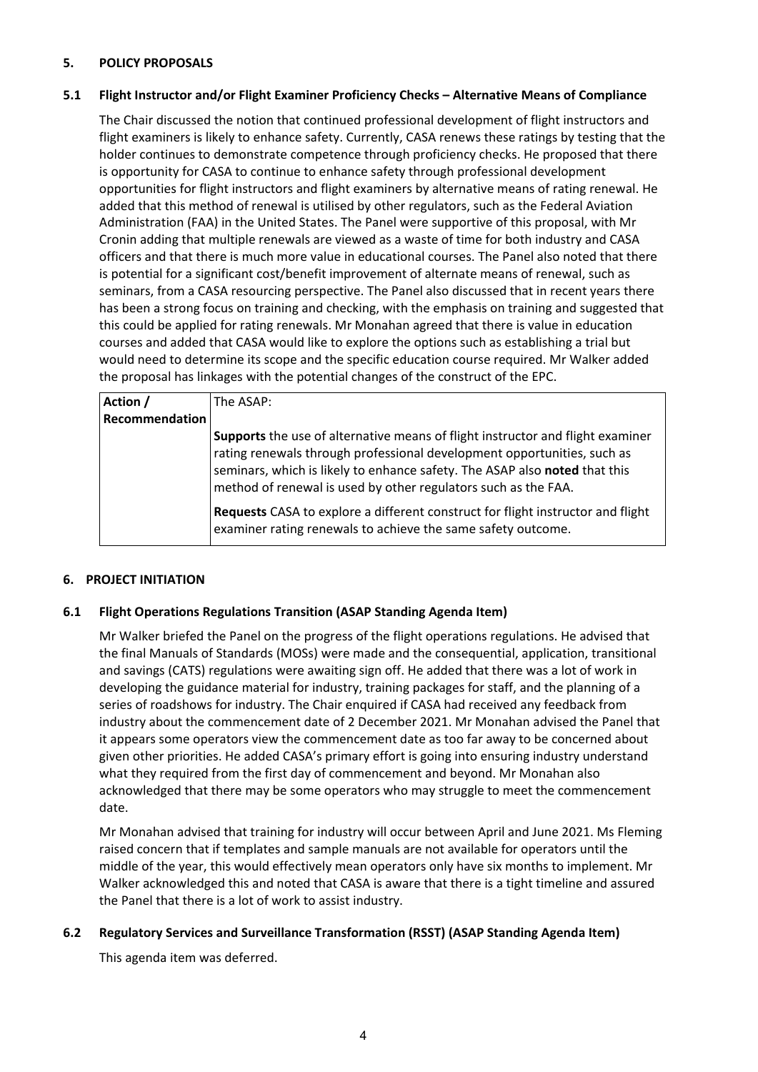## **5. POLICY PROPOSALS**

## **5.1 Flight Instructor and/or Flight Examiner Proficiency Checks – Alternative Means of Compliance**

The Chair discussed the notion that continued professional development of flight instructors and flight examiners is likely to enhance safety. Currently, CASA renews these ratings by testing that the holder continues to demonstrate competence through proficiency checks. He proposed that there is opportunity for CASA to continue to enhance safety through professional development opportunities for flight instructors and flight examiners by alternative means of rating renewal. He added that this method of renewal is utilised by other regulators, such as the Federal Aviation Administration (FAA) in the United States. The Panel were supportive of this proposal, with Mr Cronin adding that multiple renewals are viewed as a waste of time for both industry and CASA officers and that there is much more value in educational courses. The Panel also noted that there is potential for a significant cost/benefit improvement of alternate means of renewal, such as seminars, from a CASA resourcing perspective. The Panel also discussed that in recent years there has been a strong focus on training and checking, with the emphasis on training and suggested that this could be applied for rating renewals. Mr Monahan agreed that there is value in education courses and added that CASA would like to explore the options such as establishing a trial but would need to determine its scope and the specific education course required. Mr Walker added the proposal has linkages with the potential changes of the construct of the EPC.

| Action /       | The ASAP:                                                                                                                                                                                                                                                                                                 |
|----------------|-----------------------------------------------------------------------------------------------------------------------------------------------------------------------------------------------------------------------------------------------------------------------------------------------------------|
| Recommendation |                                                                                                                                                                                                                                                                                                           |
|                | Supports the use of alternative means of flight instructor and flight examiner<br>rating renewals through professional development opportunities, such as<br>seminars, which is likely to enhance safety. The ASAP also noted that this<br>method of renewal is used by other regulators such as the FAA. |
|                | <b>Requests</b> CASA to explore a different construct for flight instructor and flight<br>examiner rating renewals to achieve the same safety outcome.                                                                                                                                                    |

## **6. PROJECT INITIATION**

## **6.1 Flight Operations Regulations Transition (ASAP Standing Agenda Item)**

Mr Walker briefed the Panel on the progress of the flight operations regulations. He advised that the final Manuals of Standards (MOSs) were made and the consequential, application, transitional and savings (CATS) regulations were awaiting sign off. He added that there was a lot of work in developing the guidance material for industry, training packages for staff, and the planning of a series of roadshows for industry. The Chair enquired if CASA had received any feedback from industry about the commencement date of 2 December 2021. Mr Monahan advised the Panel that it appears some operators view the commencement date as too far away to be concerned about given other priorities. He added CASA's primary effort is going into ensuring industry understand what they required from the first day of commencement and beyond. Mr Monahan also acknowledged that there may be some operators who may struggle to meet the commencement date.

Mr Monahan advised that training for industry will occur between April and June 2021. Ms Fleming raised concern that if templates and sample manuals are not available for operators until the middle of the year, this would effectively mean operators only have six months to implement. Mr Walker acknowledged this and noted that CASA is aware that there is a tight timeline and assured the Panel that there is a lot of work to assist industry.

## **6.2 Regulatory Services and Surveillance Transformation (RSST) (ASAP Standing Agenda Item)**

This agenda item was deferred.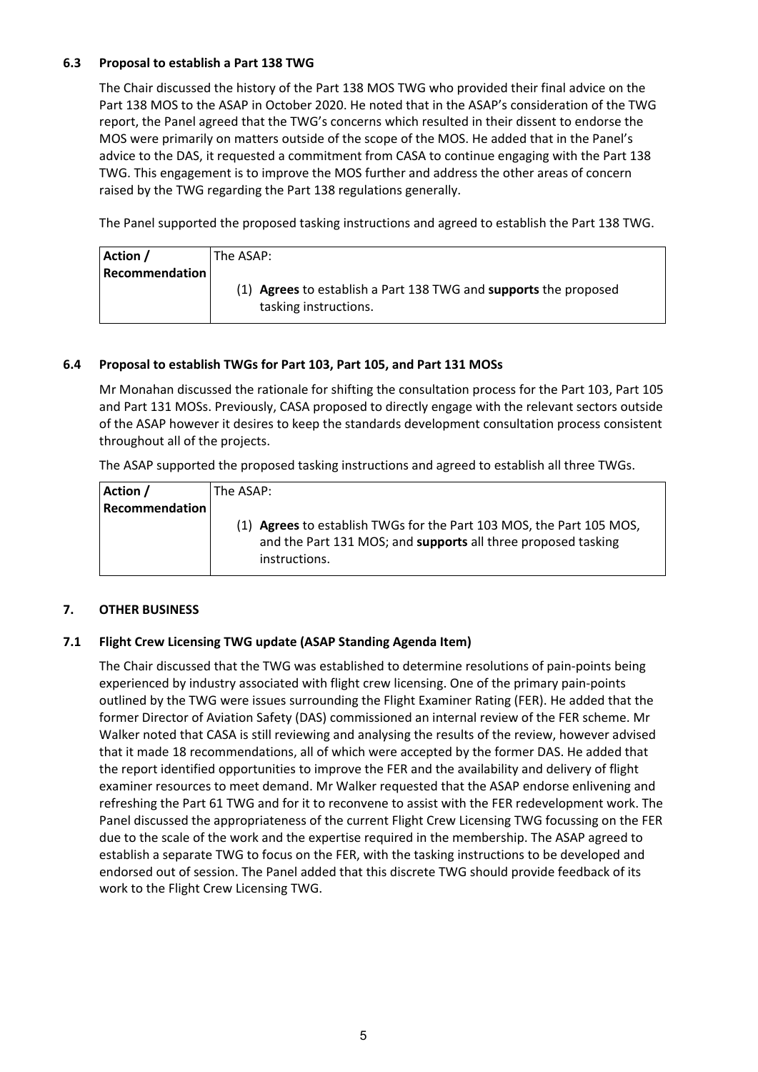## **6.3 Proposal to establish a Part 138 TWG**

The Chair discussed the history of the Part 138 MOS TWG who provided their final advice on the Part 138 MOS to the ASAP in October 2020. He noted that in the ASAP's consideration of the TWG report, the Panel agreed that the TWG's concerns which resulted in their dissent to endorse the MOS were primarily on matters outside of the scope of the MOS. He added that in the Panel's advice to the DAS, it requested a commitment from CASA to continue engaging with the Part 138 TWG. This engagement is to improve the MOS further and address the other areas of concern raised by the TWG regarding the Part 138 regulations generally.

The Panel supported the proposed tasking instructions and agreed to establish the Part 138 TWG.

| Action /       | The ASAP:                                                        |  |  |
|----------------|------------------------------------------------------------------|--|--|
| Recommendation |                                                                  |  |  |
|                | (1) Agrees to establish a Part 138 TWG and supports the proposed |  |  |
|                | tasking instructions.                                            |  |  |

## **6.4 Proposal to establish TWGs for Part 103, Part 105, and Part 131 MOSs**

Mr Monahan discussed the rationale for shifting the consultation process for the Part 103, Part 105 and Part 131 MOSs. Previously, CASA proposed to directly engage with the relevant sectors outside of the ASAP however it desires to keep the standards development consultation process consistent throughout all of the projects.

The ASAP supported the proposed tasking instructions and agreed to establish all three TWGs.

| Action /              | <b>IThe ASAP:</b>                                                                                                                                      |
|-----------------------|--------------------------------------------------------------------------------------------------------------------------------------------------------|
| <b>Recommendation</b> |                                                                                                                                                        |
|                       | (1) Agrees to establish TWGs for the Part 103 MOS, the Part 105 MOS,<br>and the Part 131 MOS; and supports all three proposed tasking<br>instructions. |

## **7. OTHER BUSINESS**

## **7.1 Flight Crew Licensing TWG update (ASAP Standing Agenda Item)**

The Chair discussed that the TWG was established to determine resolutions of pain-points being experienced by industry associated with flight crew licensing. One of the primary pain-points outlined by the TWG were issues surrounding the Flight Examiner Rating (FER). He added that the former Director of Aviation Safety (DAS) commissioned an internal review of the FER scheme. Mr Walker noted that CASA is still reviewing and analysing the results of the review, however advised that it made 18 recommendations, all of which were accepted by the former DAS. He added that the report identified opportunities to improve the FER and the availability and delivery of flight examiner resources to meet demand. Mr Walker requested that the ASAP endorse enlivening and refreshing the Part 61 TWG and for it to reconvene to assist with the FER redevelopment work. The Panel discussed the appropriateness of the current Flight Crew Licensing TWG focussing on the FER due to the scale of the work and the expertise required in the membership. The ASAP agreed to establish a separate TWG to focus on the FER, with the tasking instructions to be developed and endorsed out of session. The Panel added that this discrete TWG should provide feedback of its work to the Flight Crew Licensing TWG.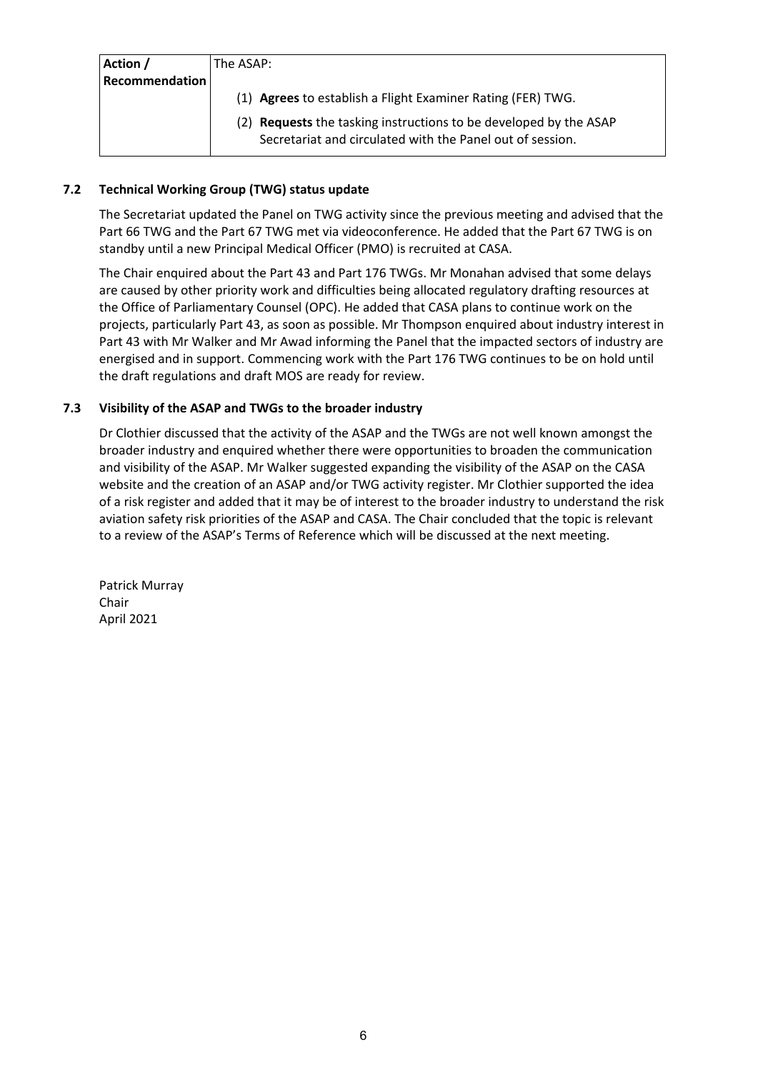| Action /              | The ASAP:                                                                |  |  |
|-----------------------|--------------------------------------------------------------------------|--|--|
| <b>Recommendation</b> |                                                                          |  |  |
|                       | (1) Agrees to establish a Flight Examiner Rating (FER) TWG.              |  |  |
|                       | (2) <b>Requests</b> the tasking instructions to be developed by the ASAP |  |  |
|                       | Secretariat and circulated with the Panel out of session.                |  |  |

## **7.2 Technical Working Group (TWG) status update**

The Secretariat updated the Panel on TWG activity since the previous meeting and advised that the Part 66 TWG and the Part 67 TWG met via videoconference. He added that the Part 67 TWG is on standby until a new Principal Medical Officer (PMO) is recruited at CASA.

The Chair enquired about the Part 43 and Part 176 TWGs. Mr Monahan advised that some delays are caused by other priority work and difficulties being allocated regulatory drafting resources at the Office of Parliamentary Counsel (OPC). He added that CASA plans to continue work on the projects, particularly Part 43, as soon as possible. Mr Thompson enquired about industry interest in Part 43 with Mr Walker and Mr Awad informing the Panel that the impacted sectors of industry are energised and in support. Commencing work with the Part 176 TWG continues to be on hold until the draft regulations and draft MOS are ready for review.

## **7.3 Visibility of the ASAP and TWGs to the broader industry**

Dr Clothier discussed that the activity of the ASAP and the TWGs are not well known amongst the broader industry and enquired whether there were opportunities to broaden the communication and visibility of the ASAP. Mr Walker suggested expanding the visibility of the ASAP on the CASA website and the creation of an ASAP and/or TWG activity register. Mr Clothier supported the idea of a risk register and added that it may be of interest to the broader industry to understand the risk aviation safety risk priorities of the ASAP and CASA. The Chair concluded that the topic is relevant to a review of the ASAP's Terms of Reference which will be discussed at the next meeting.

Patrick Murray Chair April 2021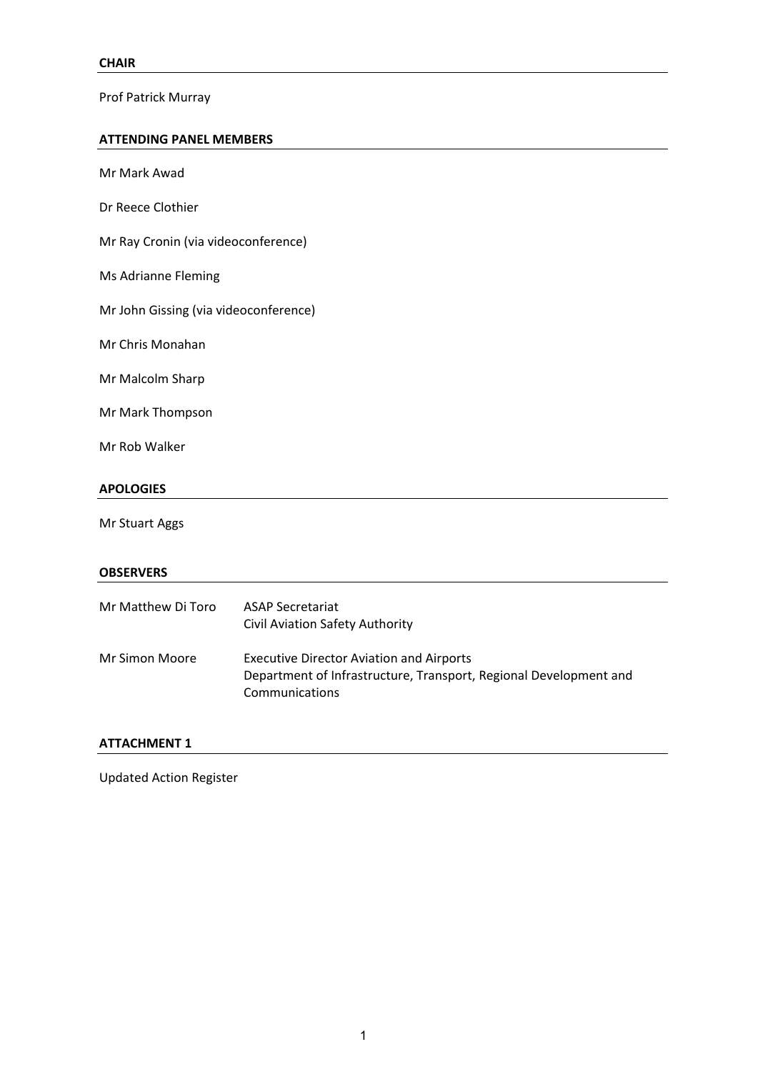Prof Patrick Murray

## **ATTENDING PANEL MEMBERS**

| Mr Mark Awad                          |                                                                                                                                        |  |  |  |
|---------------------------------------|----------------------------------------------------------------------------------------------------------------------------------------|--|--|--|
| Dr Reece Clothier                     |                                                                                                                                        |  |  |  |
| Mr Ray Cronin (via videoconference)   |                                                                                                                                        |  |  |  |
| Ms Adrianne Fleming                   |                                                                                                                                        |  |  |  |
| Mr John Gissing (via videoconference) |                                                                                                                                        |  |  |  |
| Mr Chris Monahan                      |                                                                                                                                        |  |  |  |
| Mr Malcolm Sharp                      |                                                                                                                                        |  |  |  |
| Mr Mark Thompson                      |                                                                                                                                        |  |  |  |
| Mr Rob Walker                         |                                                                                                                                        |  |  |  |
| <b>APOLOGIES</b>                      |                                                                                                                                        |  |  |  |
| Mr Stuart Aggs                        |                                                                                                                                        |  |  |  |
| <b>OBSERVERS</b>                      |                                                                                                                                        |  |  |  |
| Mr Matthew Di Toro                    | <b>ASAP Secretariat</b><br>Civil Aviation Safety Authority                                                                             |  |  |  |
| Mr Simon Moore                        | <b>Executive Director Aviation and Airports</b><br>Department of Infrastructure, Transport, Regional Development and<br>Communications |  |  |  |

## **ATTACHMENT 1**

Updated Action Register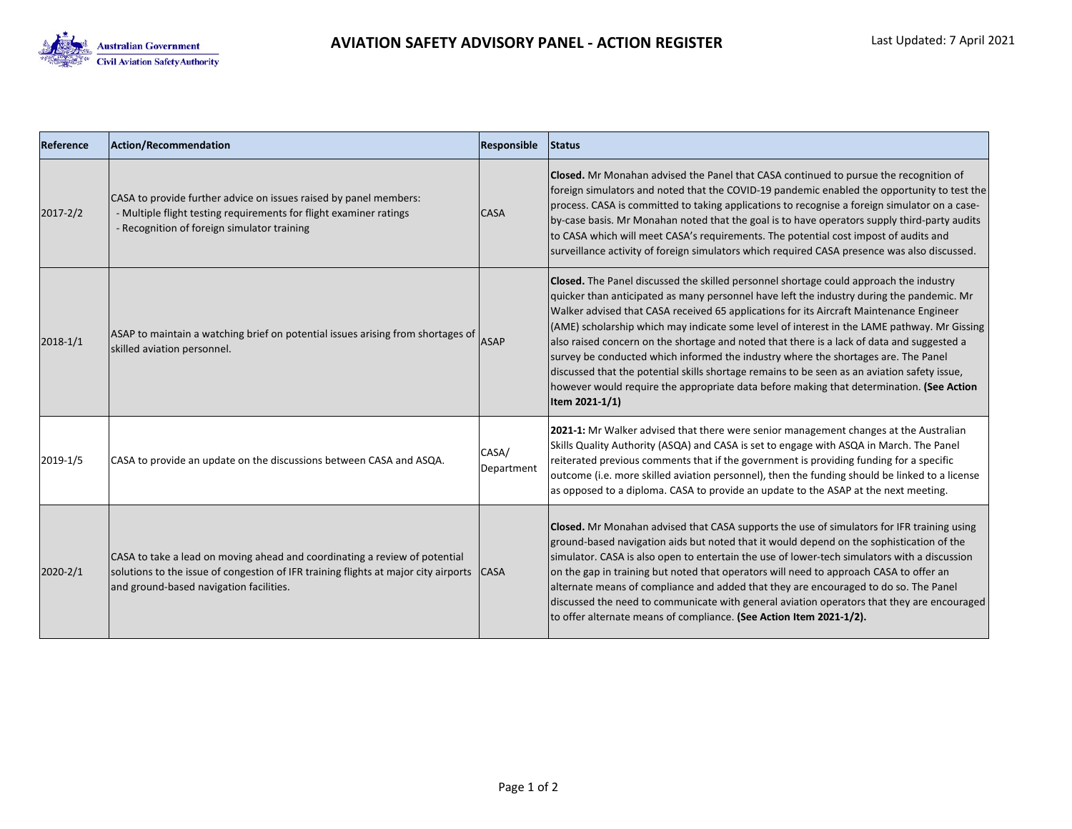

| Reference    | Action/Recommendation                                                                                                                                                                                        | Responsible         | Status                                                                                                                                                                                                                                                                                                                                                                                                                                                                                                                                                                                                                                                                                                                                                                                 |
|--------------|--------------------------------------------------------------------------------------------------------------------------------------------------------------------------------------------------------------|---------------------|----------------------------------------------------------------------------------------------------------------------------------------------------------------------------------------------------------------------------------------------------------------------------------------------------------------------------------------------------------------------------------------------------------------------------------------------------------------------------------------------------------------------------------------------------------------------------------------------------------------------------------------------------------------------------------------------------------------------------------------------------------------------------------------|
| $2017 - 2/2$ | CASA to provide further advice on issues raised by panel members:<br>- Multiple flight testing requirements for flight examiner ratings<br>- Recognition of foreign simulator training                       | <b>CASA</b>         | <b>Closed.</b> Mr Monahan advised the Panel that CASA continued to pursue the recognition of<br>foreign simulators and noted that the COVID-19 pandemic enabled the opportunity to test the<br>process. CASA is committed to taking applications to recognise a foreign simulator on a case-<br>by-case basis. Mr Monahan noted that the goal is to have operators supply third-party audits<br>to CASA which will meet CASA's requirements. The potential cost impost of audits and<br>surveillance activity of foreign simulators which required CASA presence was also discussed.                                                                                                                                                                                                   |
| $2018 - 1/1$ | ASAP to maintain a watching brief on potential issues arising from shortages of<br>skilled aviation personnel.                                                                                               | <b>ASAP</b>         | <b>Closed.</b> The Panel discussed the skilled personnel shortage could approach the industry<br>quicker than anticipated as many personnel have left the industry during the pandemic. Mr<br>Walker advised that CASA received 65 applications for its Aircraft Maintenance Engineer<br>(AME) scholarship which may indicate some level of interest in the LAME pathway. Mr Gissing<br>also raised concern on the shortage and noted that there is a lack of data and suggested a<br>survey be conducted which informed the industry where the shortages are. The Panel<br>discussed that the potential skills shortage remains to be seen as an aviation safety issue,<br>however would require the appropriate data before making that determination. (See Action<br>Item 2021-1/1) |
| 2019-1/5     | CASA to provide an update on the discussions between CASA and ASQA.                                                                                                                                          | CASA/<br>Department | 2021-1: Mr Walker advised that there were senior management changes at the Australian<br>Skills Quality Authority (ASQA) and CASA is set to engage with ASQA in March. The Panel<br>reiterated previous comments that if the government is providing funding for a specific<br>outcome (i.e. more skilled aviation personnel), then the funding should be linked to a license<br>as opposed to a diploma. CASA to provide an update to the ASAP at the next meeting.                                                                                                                                                                                                                                                                                                                   |
| $2020 - 2/1$ | CASA to take a lead on moving ahead and coordinating a review of potential<br>solutions to the issue of congestion of IFR training flights at major city airports<br>and ground-based navigation facilities. | <b>CASA</b>         | <b>Closed.</b> Mr Monahan advised that CASA supports the use of simulators for IFR training using<br>ground-based navigation aids but noted that it would depend on the sophistication of the<br>simulator. CASA is also open to entertain the use of lower-tech simulators with a discussion<br>on the gap in training but noted that operators will need to approach CASA to offer an<br>alternate means of compliance and added that they are encouraged to do so. The Panel<br>discussed the need to communicate with general aviation operators that they are encouraged<br>to offer alternate means of compliance. (See Action Item 2021-1/2).                                                                                                                                   |